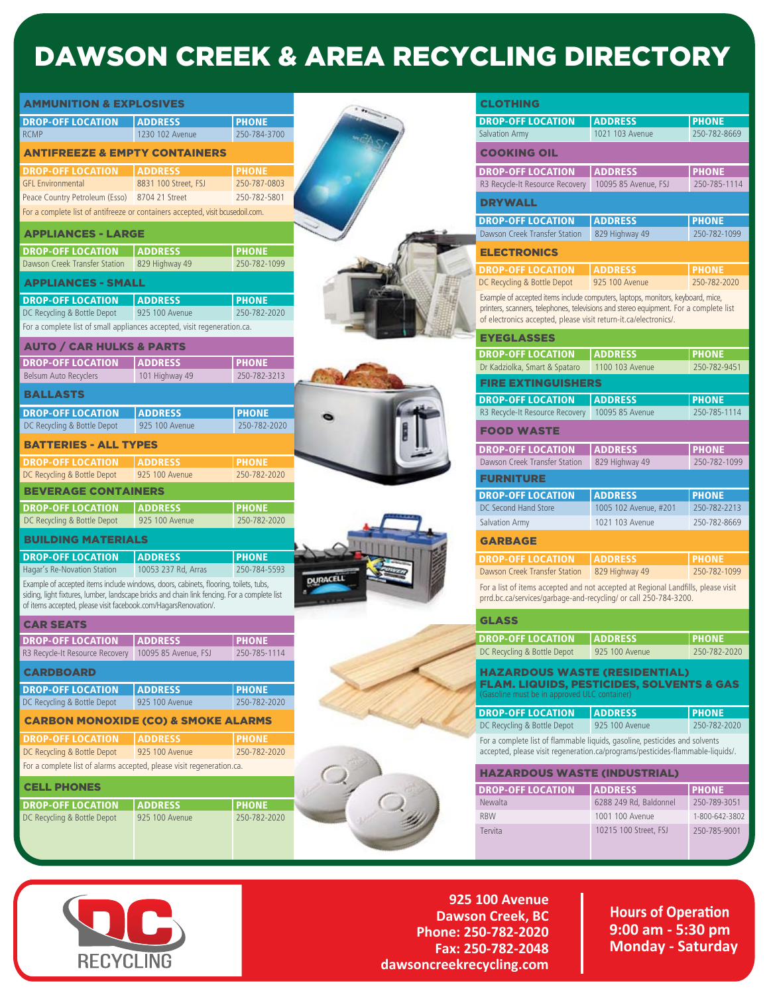## DAWSON CREEK & AREA RECYCLING DIRECTORY

| AMMUNITION & EXPLOSIVES                                                                                                                                                              |                                   |                              |
|--------------------------------------------------------------------------------------------------------------------------------------------------------------------------------------|-----------------------------------|------------------------------|
|                                                                                                                                                                                      |                                   |                              |
| <b>DROP-OFF LOCATION</b><br><b>RCMP</b>                                                                                                                                              | <b>ADDRESS</b><br>1230 102 Avenue | <b>PHONE</b><br>250-784-3700 |
|                                                                                                                                                                                      |                                   |                              |
| <b>ANTIFREEZE &amp; EMPTY CONTAINERS</b>                                                                                                                                             |                                   |                              |
| <b>DROP-OFF LOCATION</b>                                                                                                                                                             | <b>ADDRESS</b>                    | <b>PHONE</b>                 |
| <b>GFL Environmental</b>                                                                                                                                                             | 8831 100 Street, FSJ              | 250-787-0803                 |
| Peace Country Petroleum (Esso) 8704 21 Street                                                                                                                                        |                                   | 250-782-5801                 |
| For a complete list of antifreeze or containers accepted, visit bcusedoil.com.                                                                                                       |                                   |                              |
| <b>APPLIANCES - LARGE</b>                                                                                                                                                            |                                   |                              |
| <b>DROP-OFF LOCATION</b>                                                                                                                                                             | <b>ADDRESS</b>                    | <b>PHONE</b>                 |
| Dawson Creek Transfer Station                                                                                                                                                        | 829 Highway 49                    | 250-782-1099                 |
| <b>APPLIANCES - SMALL</b>                                                                                                                                                            |                                   |                              |
| <b>DROP-OFF LOCATION</b>                                                                                                                                                             | <b>ADDRESS</b>                    | <b>PHONE</b>                 |
| DC Recycling & Bottle Depot                                                                                                                                                          | 925 100 Avenue                    | 250-782-2020                 |
| For a complete list of small appliances accepted, visit regeneration.ca.                                                                                                             |                                   |                              |
| <b>AUTO / CAR HULKS &amp; PARTS</b>                                                                                                                                                  |                                   |                              |
| <b>DROP-OFF LOCATION</b>                                                                                                                                                             | <b>ADDRESS</b>                    | <b>PHONE</b>                 |
| <b>Belsum Auto Recyclers</b>                                                                                                                                                         | 101 Highway 49                    | 250-782-3213                 |
| <b>BALLASTS</b>                                                                                                                                                                      |                                   |                              |
|                                                                                                                                                                                      |                                   |                              |
| <b>DROP-OFF LOCATION</b><br>DC Recycling & Bottle Depot                                                                                                                              | <b>ADDRESS</b><br>925 100 Avenue  | <b>PHONE</b><br>250-782-2020 |
|                                                                                                                                                                                      |                                   |                              |
| <b>BATTERIES - ALL TYPES</b>                                                                                                                                                         |                                   |                              |
| <b>DROP-OFF LOCATION</b>                                                                                                                                                             | <b>ADDRESS</b>                    | <b>PHONE</b>                 |
| DC Recycling & Bottle Depot                                                                                                                                                          | 925 100 Avenue                    | 250-782-2020                 |
| <b>BEVERAGE CONTAINERS</b>                                                                                                                                                           |                                   |                              |
| <b>DROP-OFF LOCATION</b>                                                                                                                                                             | <b>ADDRESS</b>                    | <b>PHONE</b>                 |
| DC Recycling & Bottle Depot                                                                                                                                                          | 925 100 Avenue                    | 250-782-2020                 |
| <b>BUILDING MATERIALS</b>                                                                                                                                                            |                                   |                              |
| <b>DROP-OFF LOCATION</b>                                                                                                                                                             | <b>ADDRESS</b>                    | <b>PHONE</b>                 |
| Hagar's Re-Novation Station                                                                                                                                                          | 10053 237 Rd, Arras               | 250-784-5593                 |
| Example of accepted items include windows, doors, cabinets, flooring, toilets, tubs,<br>siding, light fixtures, lumber, landscape bricks and chain link fencing. For a complete list |                                   |                              |
| of items accepted, please visit facebook.com/HagarsRenovation/.                                                                                                                      |                                   |                              |
| <b>CAR SEATS</b>                                                                                                                                                                     |                                   |                              |
| <b>DROP-OFF LOCATION</b>                                                                                                                                                             | <b>ADDRESS</b>                    | <b>PHONE</b>                 |
| R3 Recycle-It Resource Recovery 10095 85 Avenue, FSJ                                                                                                                                 |                                   | 250-785-1114                 |
| CARDBOARD                                                                                                                                                                            |                                   |                              |
| <b>DROP-OFF LOCATION</b>                                                                                                                                                             | <b>ADDRESS</b>                    | <b>PHONE</b>                 |
| DC Recycling & Bottle Depot                                                                                                                                                          | 925 100 Avenue                    | 250-782-2020                 |
| <b>CARBON MONOXIDE (CO) &amp; SMOKE ALARMS</b>                                                                                                                                       |                                   |                              |
| <b>DROP-OFF LOCATION</b>                                                                                                                                                             | <b>ADDRESS</b>                    |                              |
| DC Recycling & Bottle Depot                                                                                                                                                          | 925 100 Avenue                    | <b>PHONE</b><br>250-782-2020 |
| For a complete list of alarms accepted, please visit regeneration.ca.                                                                                                                |                                   |                              |
|                                                                                                                                                                                      |                                   |                              |
| <b>CELL PHONES</b>                                                                                                                                                                   |                                   |                              |
| <b>DROP-OFF LOCATION</b>                                                                                                                                                             | <b>ADDRESS</b>                    | <b>PHONE</b>                 |
| DC Recycling & Bottle Depot                                                                                                                                                          | 925 100 Avenue                    | 250-782-2020                 |
|                                                                                                                                                                                      |                                   |                              |
|                                                                                                                                                                                      |                                   |                              |



**925 100 Avenue Dawson Creek, BC Phone: 250-782-2020 Fax: 250-782-2048 dawsoncreekrecycling.com**

**Hours of Operation 9:00 am - 5:30 pm Monday - Saturday**